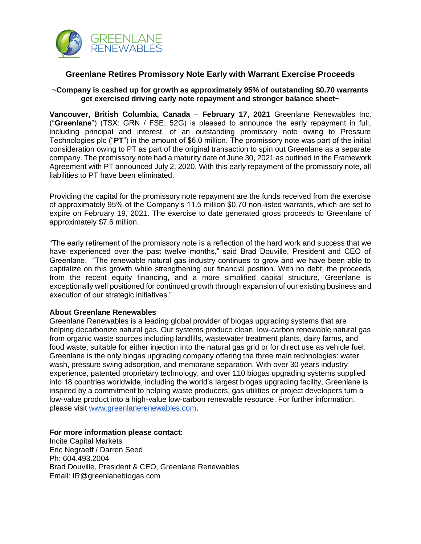

## **Greenlane Retires Promissory Note Early with Warrant Exercise Proceeds**

## **~Company is cashed up for growth as approximately 95% of outstanding \$0.70 warrants get exercised driving early note repayment and stronger balance sheet~**

**Vancouver, British Columbia, Canada** – **February 17, 2021** Greenlane Renewables Inc. ("**Greenlane**") (TSX: GRN / FSE: 52G) is pleased to announce the early repayment in full, including principal and interest, of an outstanding promissory note owing to Pressure Technologies plc ("**PT**") in the amount of \$6.0 million. The promissory note was part of the initial consideration owing to PT as part of the original transaction to spin out Greenlane as a separate company. The promissory note had a maturity date of June 30, 2021 as outlined in the Framework Agreement with PT announced July 2, 2020. With this early repayment of the promissory note, all liabilities to PT have been eliminated.

Providing the capital for the promissory note repayment are the funds received from the exercise of approximately 95% of the Company's 11.5 million \$0.70 non-listed warrants, which are set to expire on February 19, 2021. The exercise to date generated gross proceeds to Greenlane of approximately \$7.6 million.

"The early retirement of the promissory note is a reflection of the hard work and success that we have experienced over the past twelve months," said Brad Douville, President and CEO of Greenlane. "The renewable natural gas industry continues to grow and we have been able to capitalize on this growth while strengthening our financial position. With no debt, the proceeds from the recent equity financing, and a more simplified capital structure, Greenlane is exceptionally well positioned for continued growth through expansion of our existing business and execution of our strategic initiatives."

## **About Greenlane Renewables**

Greenlane Renewables is a leading global provider of biogas upgrading systems that are helping decarbonize natural gas. Our systems produce clean, low-carbon renewable natural gas from organic waste sources including landfills, wastewater treatment plants, dairy farms, and food waste, suitable for either injection into the natural gas grid or for direct use as vehicle fuel. Greenlane is the only biogas upgrading company offering the three main technologies: water wash, pressure swing adsorption, and membrane separation. With over 30 years industry experience, patented proprietary technology, and over 110 biogas upgrading systems supplied into 18 countries worldwide, including the world's largest biogas upgrading facility, Greenlane is inspired by a commitment to helping waste producers, gas utilities or project developers turn a low-value product into a high-value low-carbon renewable resource. For further information, please visit www.greenlanerenewables.com.

**For more information please contact:**

Incite Capital Markets Eric Negraeff / Darren Seed Ph: 604.493.2004 Brad Douville, President & CEO, Greenlane Renewables Email: IR@greenlanebiogas.com